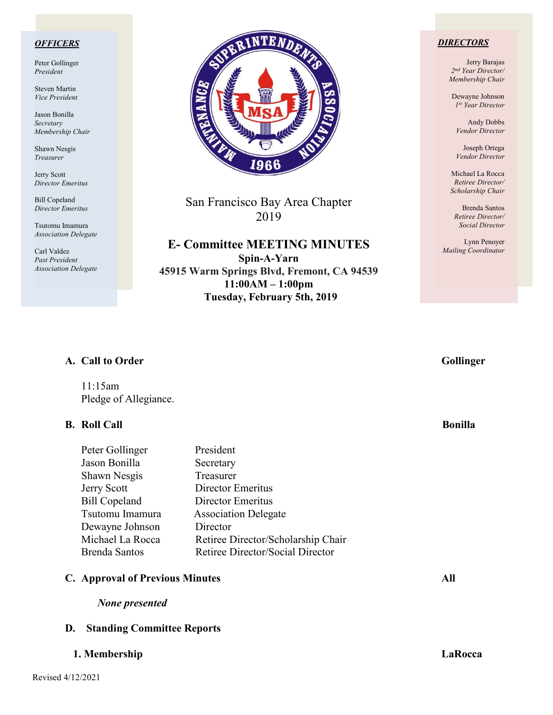### *OFFICERS*

Peter Gollinger *President*

Steven Martin *Vice President*

Jason Bonilla *Secretary Membership Chair*

Shawn Nesgis *Treasurer*

Jerry Scott *Director Emeritus*

Bill Copeland *Director Emeritus*

Tsutomu Imamura *Association Delegate*

Carl Valdez *Past President Association Delegate*



San Francisco Bay Area Chapter 2019

**E- Committee MEETING MINUTES Spin-A-Yarn 45915 Warm Springs Blvd, Fremont, CA 94539 11:00AM – 1:00pm Tuesday, February 5th, 2019**

### *DIRECTORS*

Jerry Barajas *2nd Year Director/ Membership Chair*

Dewayne Johnson *1st Year Director*

Andy Dobbs *Vendor Director*

Joseph Ortega *Vendor Director*

Michael La Rocca *Retiree Director/ Scholarship Chair*

Brenda Santos *Retiree Director/ Social Director*

Lynn Penoyer *Mailing Coordinator*

## A. Call to Order Gollinger

11:15am Pledge of Allegiance.

## **B.** Roll Call Bonilla

| Peter Gollinger      | President                          |
|----------------------|------------------------------------|
| Jason Bonilla        | Secretary                          |
| Shawn Nesgis         | Treasurer                          |
| <b>Jerry Scott</b>   | Director Emeritus                  |
| <b>Bill Copeland</b> | Director Emeritus                  |
| Tsutomu Imamura      | <b>Association Delegate</b>        |
| Dewayne Johnson      | Director                           |
| Michael La Rocca     | Retiree Director/Scholarship Chair |
| <b>Brenda Santos</b> | Retiree Director/Social Director   |

### **C. Approval of Previous Minutes All**

 *None presented*

### **D. Standing Committee Reports**

### **1. Membership LaRocca**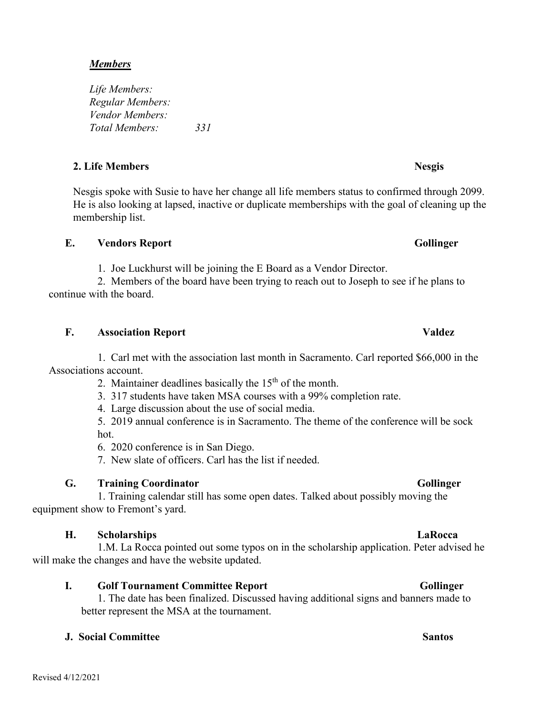## *Members*

*Life Members: Regular Members: Vendor Members: Total Members: 331*

## **2.** Life Members Nesgis

Nesgis spoke with Susie to have her change all life members status to confirmed through 2099. He is also looking at lapsed, inactive or duplicate memberships with the goal of cleaning up the membership list.

## **E.** Vendors Report Gollinger

1. Joe Luckhurst will be joining the E Board as a Vendor Director.

 2. Members of the board have been trying to reach out to Joseph to see if he plans to continue with the board.

# **F. Association Report Valdez**

1. Carl met with the association last month in Sacramento. Carl reported \$66,000 in the Associations account.

2. Maintainer deadlines basically the  $15<sup>th</sup>$  of the month.

3. 317 students have taken MSA courses with a 99% completion rate.

4. Large discussion about the use of social media.

5. 2019 annual conference is in Sacramento. The theme of the conference will be sock hot.

6. 2020 conference is in San Diego.

7. New slate of officers. Carl has the list if needed.

# **G. Training Coordinator** Gollinger

1. Training calendar still has some open dates. Talked about possibly moving the equipment show to Fremont's yard.

# **H. Scholarships LaRocca**

 1.M. La Rocca pointed out some typos on in the scholarship application. Peter advised he will make the changes and have the website updated.

# **I.** Golf Tournament Committee Report Gollinger

1. The date has been finalized. Discussed having additional signs and banners made to better represent the MSA at the tournament.

# **J. Social Committee Santos**